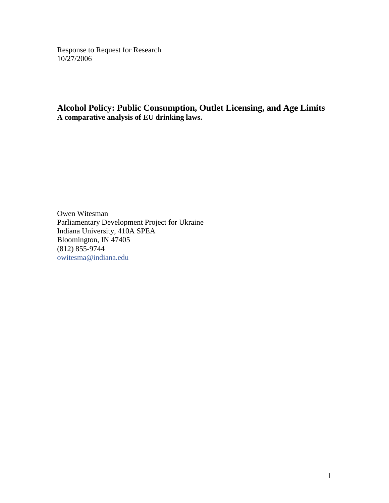Response to Request for Research 10/27/2006

**Alcohol Policy: Public Consumption, Outlet Licensing, and Age Limits A comparative analysis of EU drinking laws.**

Owen Witesman Parliamentary Development Project for Ukraine Indiana University, 410A SPEA Bloomington, IN 47405 (812) 855-9744 [owitesma@indiana.edu](mailto:owitesma@indiana.edu?subject=PDP%20Ukraine)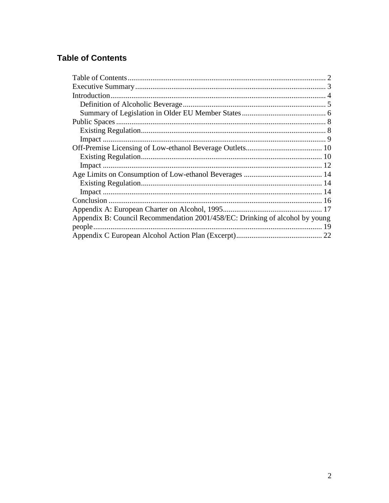# <span id="page-1-0"></span>**Table of Contents**

| Appendix B: Council Recommendation 2001/458/EC: Drinking of alcohol by young |  |
|------------------------------------------------------------------------------|--|
|                                                                              |  |
|                                                                              |  |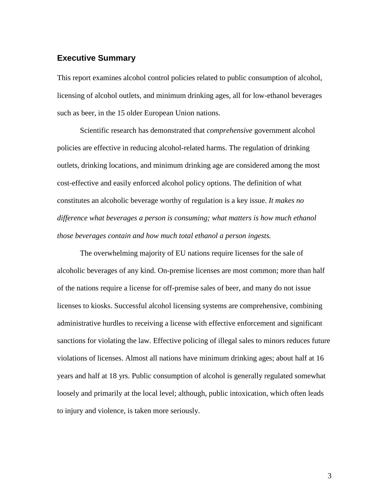### <span id="page-2-0"></span>**Executive Summary**

This report examines alcohol control policies related to public consumption of alcohol, licensing of alcohol outlets, and minimum drinking ages, all for low-ethanol beverages such as beer, in the 15 older European Union nations.

Scientific research has demonstrated that *comprehensive* government alcohol policies are effective in reducing alcohol-related harms. The regulation of drinking outlets, drinking locations, and minimum drinking age are considered among the most cost-effective and easily enforced alcohol policy options. The definition of what constitutes an alcoholic beverage worthy of regulation is a key issue. *It makes no difference what beverages a person is consuming; what matters is how much ethanol those beverages contain and how much total ethanol a person ingests.*

The overwhelming majority of EU nations require licenses for the sale of alcoholic beverages of any kind. On-premise licenses are most common; more than half of the nations require a license for off-premise sales of beer, and many do not issue licenses to kiosks. Successful alcohol licensing systems are comprehensive, combining administrative hurdles to receiving a license with effective enforcement and significant sanctions for violating the law. Effective policing of illegal sales to minors reduces future violations of licenses. Almost all nations have minimum drinking ages; about half at 16 years and half at 18 yrs. Public consumption of alcohol is generally regulated somewhat loosely and primarily at the local level; although, public intoxication, which often leads to injury and violence, is taken more seriously.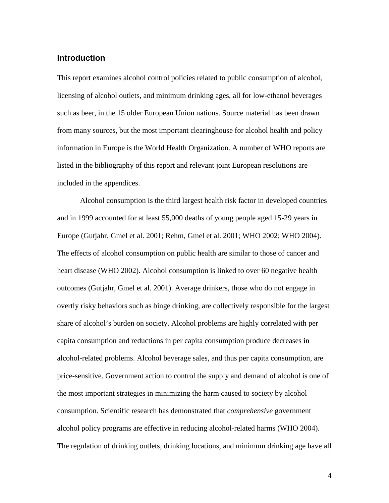## <span id="page-3-0"></span>**Introduction**

This report examines alcohol control policies related to public consumption of alcohol, licensing of alcohol outlets, and minimum drinking ages, all for low-ethanol beverages such as beer, in the 15 older European Union nations. Source material has been drawn from many sources, but the most important clearinghouse for alcohol health and policy information in Europe is the World Health Organization. A number of WHO reports are listed in the bibliography of this report and relevant joint European resolutions are included in the appendices.

Alcohol consumption is the third largest health risk factor in developed countries and in 1999 accounted for at least 55,000 deaths of young people aged 15-29 years in Europe (Gutjahr, Gmel et al. 2001; Rehm, Gmel et al. 2001; WHO 2002; WHO 2004). The effects of alcohol consumption on public health are similar to those of cancer and heart disease (WHO 2002). Alcohol consumption is linked to over 60 negative health outcomes (Gutjahr, Gmel et al. 2001). Average drinkers, those who do not engage in overtly risky behaviors such as binge drinking, are collectively responsible for the largest share of alcohol's burden on society. Alcohol problems are highly correlated with per capita consumption and reductions in per capita consumption produce decreases in alcohol-related problems. Alcohol beverage sales, and thus per capita consumption, are price-sensitive. Government action to control the supply and demand of alcohol is one of the most important strategies in minimizing the harm caused to society by alcohol consumption. Scientific research has demonstrated that *comprehensive* government alcohol policy programs are effective in reducing alcohol-related harms (WHO 2004). The regulation of drinking outlets, drinking locations, and minimum drinking age have all

4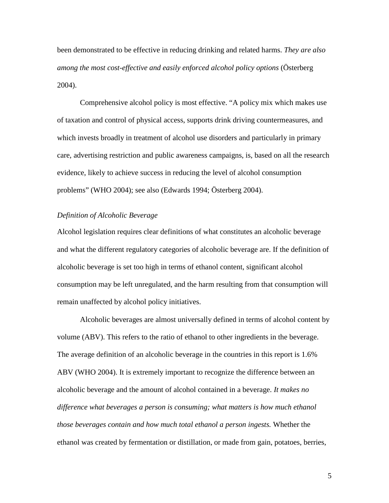been demonstrated to be effective in reducing drinking and related harms. *They are also among the most cost-effective and easily enforced alcohol policy options* (Österberg 2004).

Comprehensive alcohol policy is most effective. "A policy mix which makes use of taxation and control of physical access, supports drink driving countermeasures, and which invests broadly in treatment of alcohol use disorders and particularly in primary care, advertising restriction and public awareness campaigns, is, based on all the research evidence, likely to achieve success in reducing the level of alcohol consumption problems" (WHO 2004); see also (Edwards 1994; Österberg 2004).

### <span id="page-4-0"></span>*Definition of Alcoholic Beverage*

Alcohol legislation requires clear definitions of what constitutes an alcoholic beverage and what the different regulatory categories of alcoholic beverage are. If the definition of alcoholic beverage is set too high in terms of ethanol content, significant alcohol consumption may be left unregulated, and the harm resulting from that consumption will remain unaffected by alcohol policy initiatives.

Alcoholic beverages are almost universally defined in terms of alcohol content by volume (ABV). This refers to the ratio of ethanol to other ingredients in the beverage. The average definition of an alcoholic beverage in the countries in this report is 1.6% ABV (WHO 2004). It is extremely important to recognize the difference between an alcoholic beverage and the amount of alcohol contained in a beverage. *It makes no difference what beverages a person is consuming; what matters is how much ethanol those beverages contain and how much total ethanol a person ingests.* Whether the ethanol was created by fermentation or distillation, or made from gain, potatoes, berries,

5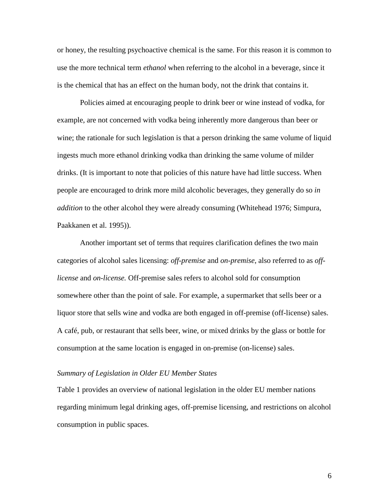or honey, the resulting psychoactive chemical is the same. For this reason it is common to use the more technical term *ethanol* when referring to the alcohol in a beverage, since it is the chemical that has an effect on the human body, not the drink that contains it.

Policies aimed at encouraging people to drink beer or wine instead of vodka, for example, are not concerned with vodka being inherently more dangerous than beer or wine; the rationale for such legislation is that a person drinking the same volume of liquid ingests much more ethanol drinking vodka than drinking the same volume of milder drinks. (It is important to note that policies of this nature have had little success. When people are encouraged to drink more mild alcoholic beverages, they generally do so *in addition* to the other alcohol they were already consuming (Whitehead 1976; Simpura, Paakkanen et al. 1995)).

Another important set of terms that requires clarification defines the two main categories of alcohol sales licensing: *off-premise* and *on-premise*, also referred to as *offlicense* and *on-license.* Off-premise sales refers to alcohol sold for consumption somewhere other than the point of sale. For example, a supermarket that sells beer or a liquor store that sells wine and vodka are both engaged in off-premise (off-license) sales. A café, pub, or restaurant that sells beer, wine, or mixed drinks by the glass or bottle for consumption at the same location is engaged in on-premise (on-license) sales.

### <span id="page-5-0"></span>*Summary of Legislation in Older EU Member States*

[Table 1](#page-6-0) provides an overview of national legislation in the older EU member nations regarding minimum legal drinking ages, off-premise licensing, and restrictions on alcohol consumption in public spaces.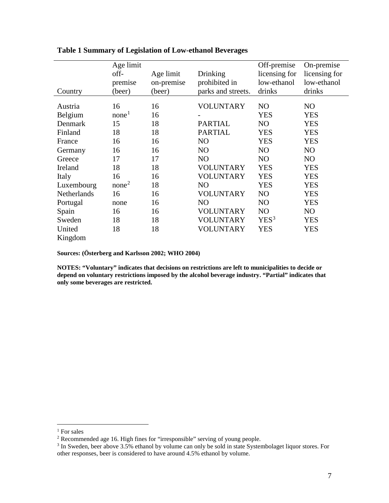| Country     | Age limit<br>off-<br>premise<br>(beer) | Age limit<br>on-premise<br>(beer) | Drinking<br>prohibited in<br>parks and streets. | Off-premise<br>licensing for<br>low-ethanol<br>drinks | On-premise<br>licensing for<br>low-ethanol<br>drinks |
|-------------|----------------------------------------|-----------------------------------|-------------------------------------------------|-------------------------------------------------------|------------------------------------------------------|
| Austria     | 16                                     | 16                                | VOLUNTARY                                       | N <sub>O</sub>                                        | N <sub>O</sub>                                       |
|             | none <sup>1</sup>                      | 16                                |                                                 | <b>YES</b>                                            |                                                      |
| Belgium     |                                        |                                   |                                                 |                                                       | <b>YES</b>                                           |
| Denmark     | 15                                     | 18                                | <b>PARTIAL</b>                                  | NO                                                    | <b>YES</b>                                           |
| Finland     | 18                                     | 18                                | <b>PARTIAL</b>                                  | <b>YES</b>                                            | <b>YES</b>                                           |
| France      | 16                                     | 16                                | NO                                              | <b>YES</b>                                            | <b>YES</b>                                           |
| Germany     | 16                                     | 16                                | N <sub>O</sub>                                  | NO                                                    | NO                                                   |
| Greece      | 17                                     | 17                                | NO                                              | NO                                                    | N <sub>O</sub>                                       |
| Ireland     | 18                                     | 18                                | VOLUNTARY                                       | <b>YES</b>                                            | <b>YES</b>                                           |
| Italy       | 16                                     | 16                                | <b>VOLUNTARY</b>                                | <b>YES</b>                                            | <b>YES</b>                                           |
| Luxembourg  | none <sup>2</sup>                      | 18                                | NO                                              | <b>YES</b>                                            | <b>YES</b>                                           |
| Netherlands | 16                                     | 16                                | <b>VOLUNTARY</b>                                | NO                                                    | <b>YES</b>                                           |
| Portugal    | none                                   | 16                                | NO                                              | NO                                                    | <b>YES</b>                                           |
| Spain       | 16                                     | 16                                | VOLUNTARY                                       | NO                                                    | NO                                                   |
| Sweden      | 18                                     | 18                                | <b>VOLUNTARY</b>                                | YES <sup>3</sup>                                      | <b>YES</b>                                           |
| United      | 18                                     | 18                                | VOLUNTARY                                       | <b>YES</b>                                            | <b>YES</b>                                           |
| Kingdom     |                                        |                                   |                                                 |                                                       |                                                      |

## <span id="page-6-0"></span>**Table 1 Summary of Legislation of Low-ethanol Beverages**

**Sources: (Österberg and Karlsson 2002; WHO 2004)**

**NOTES: "Voluntary" indicates that decisions on restrictions are left to municipalities to decide or depend on voluntary restrictions imposed by the alcohol beverage industry. "Partial" indicates that only some beverages are restricted.**

<sup>&</sup>lt;sup>1</sup> For sales

<span id="page-6-2"></span><span id="page-6-1"></span><sup>&</sup>lt;sup>2</sup> Recommended age 16. High fines for "irresponsible" serving of young people.

<span id="page-6-3"></span><sup>&</sup>lt;sup>3</sup> In Sweden, beer above 3.5% ethanol by volume can only be sold in state Systembolaget liquor stores. For other responses, beer is considered to have around 4.5% ethanol by volume.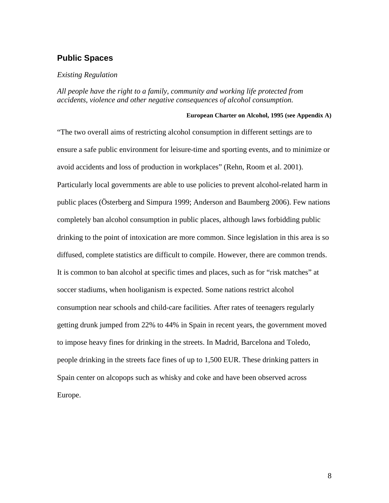## <span id="page-7-0"></span>**Public Spaces**

### <span id="page-7-1"></span>*Existing Regulation*

*All people have the right to a family, community and working life protected from accidents, violence and other negative consequences of alcohol consumption.*

### **European Charter on Alcohol, 1995 (see Appendix A)**

"The two overall aims of restricting alcohol consumption in different settings are to ensure a safe public environment for leisure-time and sporting events, and to minimize or avoid accidents and loss of production in workplaces" (Rehn, Room et al. 2001). Particularly local governments are able to use policies to prevent alcohol-related harm in public places (Österberg and Simpura 1999; Anderson and Baumberg 2006). Few nations completely ban alcohol consumption in public places, although laws forbidding public drinking to the point of intoxication are more common. Since legislation in this area is so diffused, complete statistics are difficult to compile. However, there are common trends. It is common to ban alcohol at specific times and places, such as for "risk matches" at soccer stadiums, when hooliganism is expected. Some nations restrict alcohol consumption near schools and child-care facilities. After rates of teenagers regularly getting drunk jumped from 22% to 44% in Spain in recent years, the government moved to impose heavy fines for drinking in the streets. In Madrid, Barcelona and Toledo, people drinking in the streets face fines of up to 1,500 EUR. These drinking patters in Spain center on alcopops such as whisky and coke and have been observed across Europe.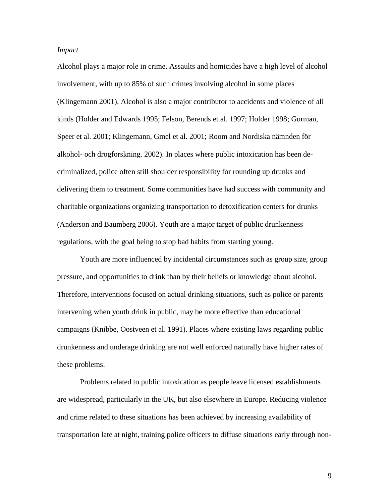### <span id="page-8-0"></span>*Impact*

Alcohol plays a major role in crime. Assaults and homicides have a high level of alcohol involvement, with up to 85% of such crimes involving alcohol in some places (Klingemann 2001). Alcohol is also a major contributor to accidents and violence of all kinds (Holder and Edwards 1995; Felson, Berends et al. 1997; Holder 1998; Gorman, Speer et al. 2001; Klingemann, Gmel et al. 2001; Room and Nordiska nämnden för alkohol- och drogforskning. 2002). In places where public intoxication has been decriminalized, police often still shoulder responsibility for rounding up drunks and delivering them to treatment. Some communities have had success with community and charitable organizations organizing transportation to detoxification centers for drunks (Anderson and Baumberg 2006). Youth are a major target of public drunkenness regulations, with the goal being to stop bad habits from starting young.

Youth are more influenced by incidental circumstances such as group size, group pressure, and opportunities to drink than by their beliefs or knowledge about alcohol. Therefore, interventions focused on actual drinking situations, such as police or parents intervening when youth drink in public, may be more effective than educational campaigns (Knibbe, Oostveen et al. 1991). Places where existing laws regarding public drunkenness and underage drinking are not well enforced naturally have higher rates of these problems.

Problems related to public intoxication as people leave licensed establishments are widespread, particularly in the UK, but also elsewhere in Europe. Reducing violence and crime related to these situations has been achieved by increasing availability of transportation late at night, training police officers to diffuse situations early through non-

9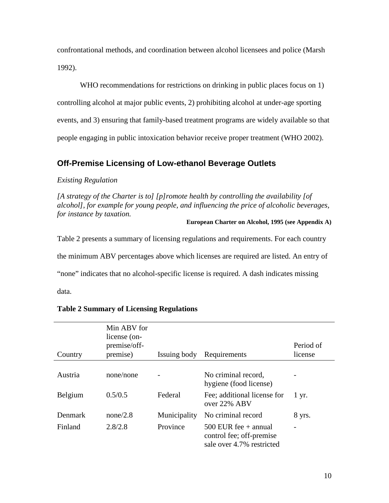confrontational methods, and coordination between alcohol licensees and police (Marsh 1992).

WHO recommendations for restrictions on drinking in public places focus on 1) controlling alcohol at major public events, 2) prohibiting alcohol at under-age sporting events, and 3) ensuring that family-based treatment programs are widely available so that people engaging in public intoxication behavior receive proper treatment (WHO 2002).

## <span id="page-9-0"></span>**Off-Premise Licensing of Low-ethanol Beverage Outlets**

## <span id="page-9-1"></span>*Existing Regulation*

*[A strategy of the Charter is to] [p]romote health by controlling the availability [of alcohol], for example for young people, and influencing the price of alcoholic beverages, for instance by taxation.*

### **European Charter on Alcohol, 1995 (see Appendix A)**

[Table 2](#page-9-2) presents a summary of licensing regulations and requirements. For each country

the minimum ABV percentages above which licenses are required are listed. An entry of

"none" indicates that no alcohol-specific license is required. A dash indicates missing

data.

| Country | Min ABV for<br>license (on-<br>premise/off-<br>premise) | Issuing body | Requirements                                                                    | Period of<br>license |
|---------|---------------------------------------------------------|--------------|---------------------------------------------------------------------------------|----------------------|
|         |                                                         |              |                                                                                 |                      |
| Austria | none/none                                               |              | No criminal record,<br>hygiene (food license)                                   |                      |
| Belgium | 0.5/0.5                                                 | Federal      | Fee; additional license for<br>over 22% ABV                                     | $1 \, yr.$           |
| Denmark | none/2.8                                                | Municipality | No criminal record                                                              | 8 yrs.               |
| Finland | 2.8/2.8                                                 | Province     | 500 EUR fee $+$ annual<br>control fee; off-premise<br>sale over 4.7% restricted |                      |

## <span id="page-9-2"></span>**Table 2 Summary of Licensing Regulations**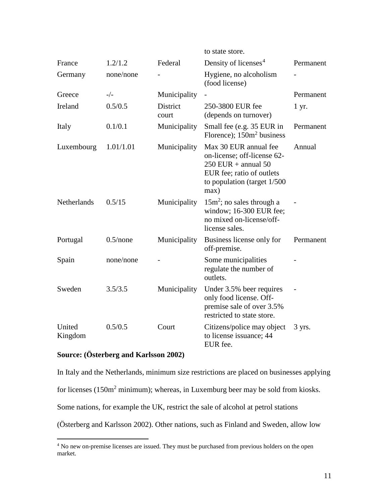|                   |             |                          | to state store.                                                                                                                                     |           |
|-------------------|-------------|--------------------------|-----------------------------------------------------------------------------------------------------------------------------------------------------|-----------|
| France            | 1.2/1.2     | Federal                  | Density of licenses <sup>4</sup>                                                                                                                    | Permanent |
| Germany           | none/none   |                          | Hygiene, no alcoholism<br>(food license)                                                                                                            |           |
| Greece            | $-/-$       | Municipality             |                                                                                                                                                     | Permanent |
| Ireland           | 0.5/0.5     | <b>District</b><br>court | 250-3800 EUR fee<br>(depends on turnover)                                                                                                           | 1 yr.     |
| Italy             | 0.1/0.1     | Municipality             | Small fee (e.g. 35 EUR in<br>Florence); $150m2$ business                                                                                            | Permanent |
| Luxembourg        | 1.01/1.01   | Municipality             | Max 30 EUR annual fee<br>on-license; off-license 62-<br>$250$ EUR + annual 50<br>EUR fee; ratio of outlets<br>to population (target $1/500$<br>max) | Annual    |
| Netherlands       | 0.5/15      | Municipality             | $15m^2$ ; no sales through a<br>window; 16-300 EUR fee;<br>no mixed on-license/off-<br>license sales.                                               |           |
| Portugal          | $0.5$ /none | Municipality             | Business license only for<br>off-premise.                                                                                                           | Permanent |
| Spain             | none/none   |                          | Some municipalities<br>regulate the number of<br>outlets.                                                                                           |           |
| Sweden            | 3.5/3.5     | Municipality             | Under 3.5% beer requires<br>only food license. Off-<br>premise sale of over 3.5%<br>restricted to state store.                                      |           |
| United<br>Kingdom | 0.5/0.5     | Court                    | Citizens/police may object<br>to license issuance; 44<br>EUR fee.                                                                                   | 3 yrs.    |

## **Source: (Österberg and Karlsson 2002)**

In Italy and the Netherlands, minimum size restrictions are placed on businesses applying for licenses (150m<sup>2</sup> minimum); whereas, in Luxemburg beer may be sold from kiosks. Some nations, for example the UK, restrict the sale of alcohol at petrol stations (Österberg and Karlsson 2002). Other nations, such as Finland and Sweden, allow low

<span id="page-10-0"></span><sup>&</sup>lt;sup>4</sup> No new on-premise licenses are issued. They must be purchased from previous holders on the open market.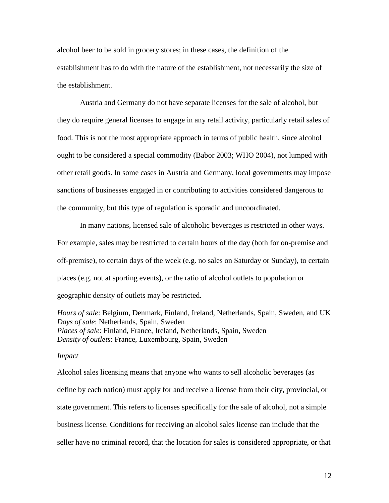alcohol beer to be sold in grocery stores; in these cases, the definition of the establishment has to do with the nature of the establishment, not necessarily the size of the establishment.

Austria and Germany do not have separate licenses for the sale of alcohol, but they do require general licenses to engage in any retail activity, particularly retail sales of food. This is not the most appropriate approach in terms of public health, since alcohol ought to be considered a special commodity (Babor 2003; WHO 2004), not lumped with other retail goods. In some cases in Austria and Germany, local governments may impose sanctions of businesses engaged in or contributing to activities considered dangerous to the community, but this type of regulation is sporadic and uncoordinated.

In many nations, licensed sale of alcoholic beverages is restricted in other ways. For example, sales may be restricted to certain hours of the day (both for on-premise and off-premise), to certain days of the week (e.g. no sales on Saturday or Sunday), to certain places (e.g. not at sporting events), or the ratio of alcohol outlets to population or geographic density of outlets may be restricted.

*Hours of sale*: Belgium, Denmark, Finland, Ireland, Netherlands, Spain, Sweden, and UK *Days of sale*: Netherlands, Spain, Sweden *Places of sale*: Finland, France, Ireland, Netherlands, Spain, Sweden *Density of outlets*: France, Luxembourg, Spain, Sweden

#### <span id="page-11-0"></span>*Impact*

Alcohol sales licensing means that anyone who wants to sell alcoholic beverages (as define by each nation) must apply for and receive a license from their city, provincial, or state government. This refers to licenses specifically for the sale of alcohol, not a simple business license. Conditions for receiving an alcohol sales license can include that the seller have no criminal record, that the location for sales is considered appropriate, or that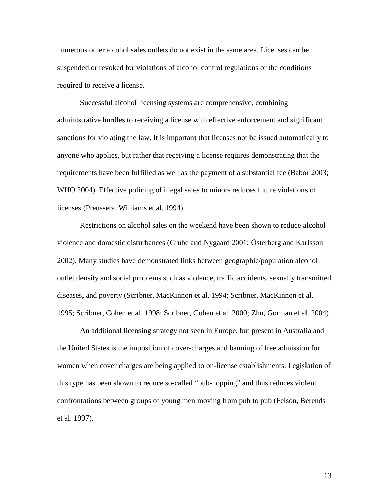numerous other alcohol sales outlets do not exist in the same area. Licenses can be suspended or revoked for violations of alcohol control regulations or the conditions required to receive a license.

Successful alcohol licensing systems are comprehensive, combining administrative hurdles to receiving a license with effective enforcement and significant sanctions for violating the law. It is important that licenses not be issued automatically to anyone who applies, but rather that receiving a license requires demonstrating that the requirements have been fulfilled as well as the payment of a substantial fee (Babor 2003; WHO 2004). Effective policing of illegal sales to minors reduces future violations of licenses (Preussera, Williams et al. 1994).

Restrictions on alcohol sales on the weekend have been shown to reduce alcohol violence and domestic disturbances (Grube and Nygaard 2001; Österberg and Karlsson 2002). Many studies have demonstrated links between geographic/population alcohol outlet density and social problems such as violence, traffic accidents, sexually transmitted diseases, and poverty (Scribner, MacKinnon et al. 1994; Scribner, MacKinnon et al. 1995; Scribner, Cohen et al. 1998; Scribner, Cohen et al. 2000; Zhu, Gorman et al. 2004)

An additional licensing strategy not seen in Europe, but present in Australia and the United States is the imposition of cover-charges and banning of free admission for women when cover charges are being applied to on-license establishments. Legislation of this type has been shown to reduce so-called "pub-hopping" and thus reduces violent confrontations between groups of young men moving from pub to pub (Felson, Berends et al. 1997).

13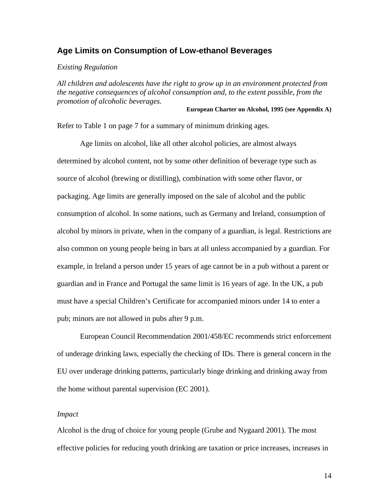### <span id="page-13-0"></span>**Age Limits on Consumption of Low-ethanol Beverages**

#### <span id="page-13-1"></span>*Existing Regulation*

*All children and adolescents have the right to grow up in an environment protected from the negative consequences of alcohol consumption and, to the extent possible, from the promotion of alcoholic beverages.*

#### **European Charter on Alcohol, 1995 (see Appendix A)**

Refer to [Table 1](#page-6-0) on page [7](#page-6-0) for a summary of minimum drinking ages.

Age limits on alcohol, like all other alcohol policies, are almost always determined by alcohol content, not by some other definition of beverage type such as source of alcohol (brewing or distilling), combination with some other flavor, or packaging. Age limits are generally imposed on the sale of alcohol and the public consumption of alcohol. In some nations, such as Germany and Ireland, consumption of alcohol by minors in private, when in the company of a guardian, is legal. Restrictions are also common on young people being in bars at all unless accompanied by a guardian. For example, in Ireland a person under 15 years of age cannot be in a pub without a parent or guardian and in France and Portugal the same limit is 16 years of age. In the UK, a pub must have a special Children's Certificate for accompanied minors under 14 to enter a pub; minors are not allowed in pubs after 9 p.m.

European Council Recommendation 2001/458/EC recommends strict enforcement of underage drinking laws, especially the checking of IDs. There is general concern in the EU over underage drinking patterns, particularly binge drinking and drinking away from the home without parental supervision (EC 2001).

#### <span id="page-13-2"></span>*Impact*

Alcohol is the drug of choice for young people (Grube and Nygaard 2001). The most effective policies for reducing youth drinking are taxation or price increases, increases in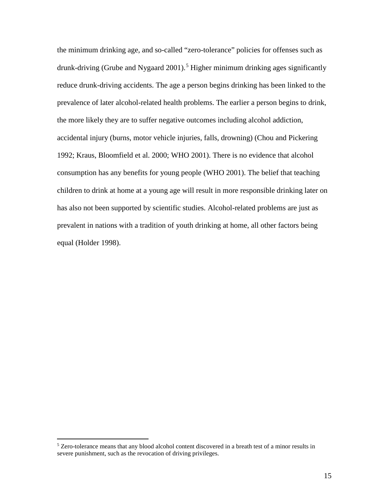the minimum drinking age, and so-called "zero-tolerance" policies for offenses such as drunk-driving (Grube and Nygaard 2001). [5](#page-14-0) Higher minimum drinking ages significantly reduce drunk-driving accidents. The age a person begins drinking has been linked to the prevalence of later alcohol-related health problems. The earlier a person begins to drink, the more likely they are to suffer negative outcomes including alcohol addiction, accidental injury (burns, motor vehicle injuries, falls, drowning) (Chou and Pickering 1992; Kraus, Bloomfield et al. 2000; WHO 2001). There is no evidence that alcohol consumption has any benefits for young people (WHO 2001). The belief that teaching children to drink at home at a young age will result in more responsible drinking later on has also not been supported by scientific studies. Alcohol-related problems are just as prevalent in nations with a tradition of youth drinking at home, all other factors being equal (Holder 1998).

<span id="page-14-0"></span> $5$  Zero-tolerance means that any blood alcohol content discovered in a breath test of a minor results in severe punishment, such as the revocation of driving privileges.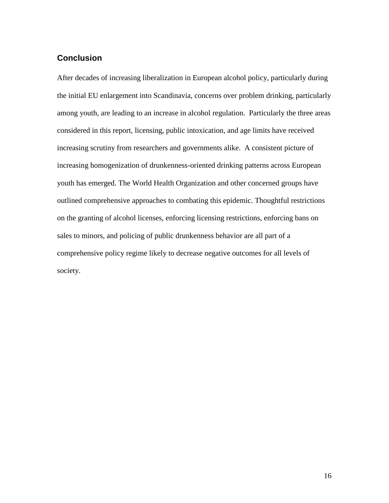## <span id="page-15-0"></span>**Conclusion**

After decades of increasing liberalization in European alcohol policy, particularly during the initial EU enlargement into Scandinavia, concerns over problem drinking, particularly among youth, are leading to an increase in alcohol regulation. Particularly the three areas considered in this report, licensing, public intoxication, and age limits have received increasing scrutiny from researchers and governments alike. A consistent picture of increasing homogenization of drunkenness-oriented drinking patterns across European youth has emerged. The World Health Organization and other concerned groups have outlined comprehensive approaches to combating this epidemic. Thoughtful restrictions on the granting of alcohol licenses, enforcing licensing restrictions, enforcing bans on sales to minors, and policing of public drunkenness behavior are all part of a comprehensive policy regime likely to decrease negative outcomes for all levels of society.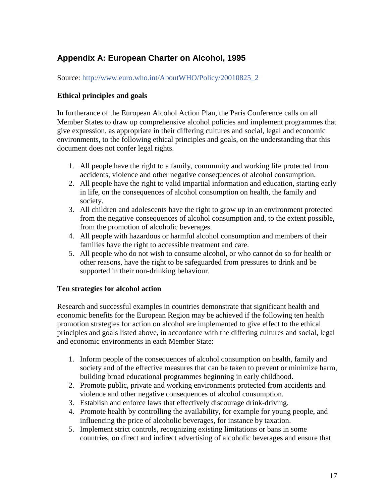# <span id="page-16-0"></span>**Appendix A: European Charter on Alcohol, 1995**

Source: [http://www.euro.who.int/AboutWHO/Policy/20010825\\_2](http://www.euro.who.int/AboutWHO/Policy/20010825_2)

## **Ethical principles and goals**

In furtherance of the European Alcohol Action Plan, the Paris Conference calls on all Member States to draw up comprehensive alcohol policies and implement programmes that give expression, as appropriate in their differing cultures and social, legal and economic environments, to the following ethical principles and goals, on the understanding that this document does not confer legal rights.

- 1. All people have the right to a family, community and working life protected from accidents, violence and other negative consequences of alcohol consumption.
- 2. All people have the right to valid impartial information and education, starting early in life, on the consequences of alcohol consumption on health, the family and society.
- 3. All children and adolescents have the right to grow up in an environment protected from the negative consequences of alcohol consumption and, to the extent possible, from the promotion of alcoholic beverages.
- 4. All people with hazardous or harmful alcohol consumption and members of their families have the right to accessible treatment and care.
- 5. All people who do not wish to consume alcohol, or who cannot do so for health or other reasons, have the right to be safeguarded from pressures to drink and be supported in their non-drinking behaviour.

## **Ten strategies for alcohol action**

Research and successful examples in countries demonstrate that significant health and economic benefits for the European Region may be achieved if the following ten health promotion strategies for action on alcohol are implemented to give effect to the ethical principles and goals listed above, in accordance with the differing cultures and social, legal and economic environments in each Member State:

- 1. Inform people of the consequences of alcohol consumption on health, family and society and of the effective measures that can be taken to prevent or minimize harm, building broad educational programmes beginning in early childhood.
- 2. Promote public, private and working environments protected from accidents and violence and other negative consequences of alcohol consumption.
- 3. Establish and enforce laws that effectively discourage drink-driving.
- 4. Promote health by controlling the availability, for example for young people, and influencing the price of alcoholic beverages, for instance by taxation.
- 5. Implement strict controls, recognizing existing limitations or bans in some countries, on direct and indirect advertising of alcoholic beverages and ensure that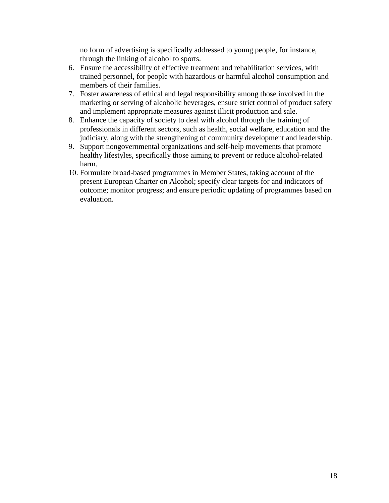no form of advertising is specifically addressed to young people, for instance, through the linking of alcohol to sports.

- 6. Ensure the accessibility of effective treatment and rehabilitation services, with trained personnel, for people with hazardous or harmful alcohol consumption and members of their families.
- 7. Foster awareness of ethical and legal responsibility among those involved in the marketing or serving of alcoholic beverages, ensure strict control of product safety and implement appropriate measures against illicit production and sale.
- 8. Enhance the capacity of society to deal with alcohol through the training of professionals in different sectors, such as health, social welfare, education and the judiciary, along with the strengthening of community development and leadership.
- 9. Support nongovernmental organizations and self-help movements that promote healthy lifestyles, specifically those aiming to prevent or reduce alcohol-related harm.
- 10. Formulate broad-based programmes in Member States, taking account of the present European Charter on Alcohol; specify clear targets for and indicators of outcome; monitor progress; and ensure periodic updating of programmes based on evaluation.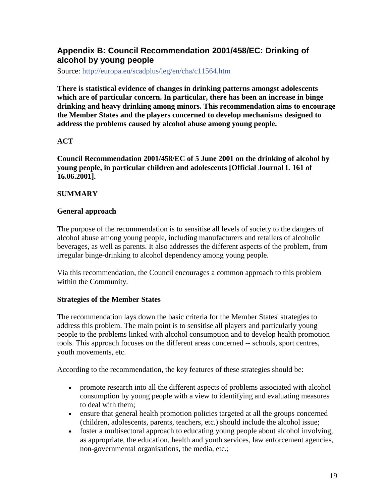## <span id="page-18-0"></span>**Appendix B: Council Recommendation 2001/458/EC: Drinking of alcohol by young people**

Source: <http://europa.eu/scadplus/leg/en/cha/c11564.htm>

**There is statistical evidence of changes in drinking patterns amongst adolescents which are of particular concern. In particular, there has been an increase in binge drinking and heavy drinking among minors. This recommendation aims to encourage the Member States and the players concerned to develop mechanisms designed to address the problems caused by alcohol abuse among young people.**

## **ACT**

**Council Recommendation 2001/458/EC of 5 June 2001 on the drinking of alcohol by young people, in particular children and adolescents [Official Journal L 161 of 16.06.2001].**

## **SUMMARY**

### **General approach**

The purpose of the recommendation is to sensitise all levels of society to the dangers of alcohol abuse among young people, including manufacturers and retailers of alcoholic beverages, as well as parents. It also addresses the different aspects of the problem, from irregular binge-drinking to alcohol dependency among young people.

Via this recommendation, the Council encourages a common approach to this problem within the Community.

### **Strategies of the Member States**

The recommendation lays down the basic criteria for the Member States' strategies to address this problem. The main point is to sensitise all players and particularly young people to the problems linked with alcohol consumption and to develop health promotion tools. This approach focuses on the different areas concerned -- schools, sport centres, youth movements, etc.

According to the recommendation, the key features of these strategies should be:

- promote research into all the different aspects of problems associated with alcohol consumption by young people with a view to identifying and evaluating measures to deal with them;
- ensure that general health promotion policies targeted at all the groups concerned (children, adolescents, parents, teachers, etc.) should include the alcohol issue;
- foster a multisectoral approach to educating young people about alcohol involving, as appropriate, the education, health and youth services, law enforcement agencies, non-governmental organisations, the media, etc.;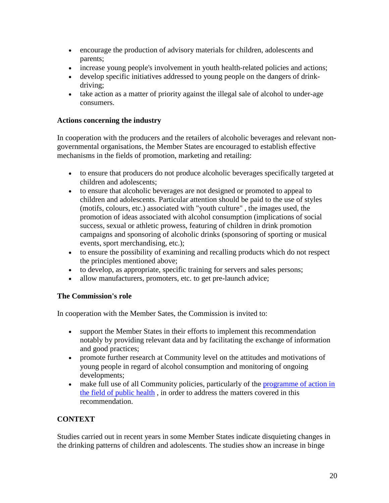- encourage the production of advisory materials for children, adolescents and parents;
- increase young people's involvement in youth health-related policies and actions;
- develop specific initiatives addressed to young people on the dangers of drinkdriving;
- take action as a matter of priority against the illegal sale of alcohol to under-age consumers.

## **Actions concerning the industry**

In cooperation with the producers and the retailers of alcoholic beverages and relevant nongovernmental organisations, the Member States are encouraged to establish effective mechanisms in the fields of promotion, marketing and retailing:

- to ensure that producers do not produce alcoholic beverages specifically targeted at children and adolescents;
- to ensure that alcoholic beverages are not designed or promoted to appeal to children and adolescents. Particular attention should be paid to the use of styles (motifs, colours, etc.) associated with "youth culture" , the images used, the promotion of ideas associated with alcohol consumption (implications of social success, sexual or athletic prowess, featuring of children in drink promotion campaigns and sponsoring of alcoholic drinks (sponsoring of sporting or musical events, sport merchandising, etc.);
- to ensure the possibility of examining and recalling products which do not respect the principles mentioned above;
- to develop, as appropriate, specific training for servers and sales persons;
- allow manufacturers, promoters, etc. to get pre-launch advice;

## **The Commission's role**

In cooperation with the Member Sates, the Commission is invited to:

- support the Member States in their efforts to implement this recommendation notably by providing relevant data and by facilitating the exchange of information and good practices;
- promote further research at Community level on the attitudes and motivations of young people in regard of alcohol consumption and monitoring of ongoing developments;
- make full use of all Community policies, particularly of the programme of action in [the field of public health](http://europa.eu/scadplus/leg/en/cha/c11503b.htm) , in order to address the matters covered in this recommendation.

## **CONTEXT**

Studies carried out in recent years in some Member States indicate disquieting changes in the drinking patterns of children and adolescents. The studies show an increase in binge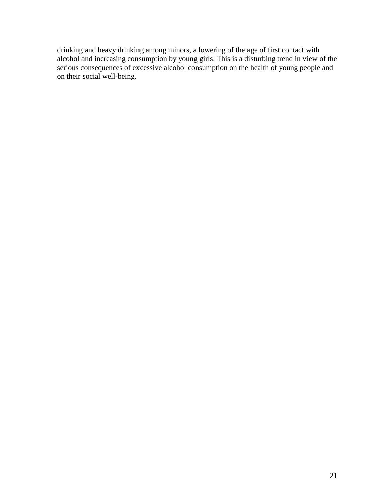drinking and heavy drinking among minors, a lowering of the age of first contact with alcohol and increasing consumption by young girls. This is a disturbing trend in view of the serious consequences of excessive alcohol consumption on the health of young people and on their social well-being.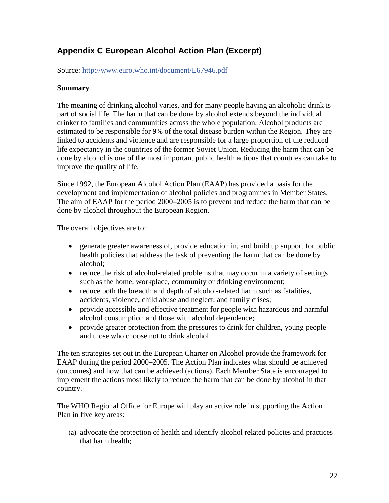# <span id="page-21-0"></span>**Appendix C European Alcohol Action Plan (Excerpt)**

Source:<http://www.euro.who.int/document/E67946.pdf>

## **Summary**

The meaning of drinking alcohol varies, and for many people having an alcoholic drink is part of social life. The harm that can be done by alcohol extends beyond the individual drinker to families and communities across the whole population. Alcohol products are estimated to be responsible for 9% of the total disease burden within the Region. They are linked to accidents and violence and are responsible for a large proportion of the reduced life expectancy in the countries of the former Soviet Union. Reducing the harm that can be done by alcohol is one of the most important public health actions that countries can take to improve the quality of life.

Since 1992, the European Alcohol Action Plan (EAAP) has provided a basis for the development and implementation of alcohol policies and programmes in Member States. The aim of EAAP for the period 2000–2005 is to prevent and reduce the harm that can be done by alcohol throughout the European Region.

The overall objectives are to:

- generate greater awareness of, provide education in, and build up support for public health policies that address the task of preventing the harm that can be done by alcohol;
- reduce the risk of alcohol-related problems that may occur in a variety of settings such as the home, workplace, community or drinking environment;
- reduce both the breadth and depth of alcohol-related harm such as fatalities, accidents, violence, child abuse and neglect, and family crises;
- provide accessible and effective treatment for people with hazardous and harmful alcohol consumption and those with alcohol dependence;
- provide greater protection from the pressures to drink for children, young people and those who choose not to drink alcohol.

The ten strategies set out in the European Charter on Alcohol provide the framework for EAAP during the period 2000–2005. The Action Plan indicates what should be achieved (outcomes) and how that can be achieved (actions). Each Member State is encouraged to implement the actions most likely to reduce the harm that can be done by alcohol in that country.

The WHO Regional Office for Europe will play an active role in supporting the Action Plan in five key areas:

(a) advocate the protection of health and identify alcohol related policies and practices that harm health;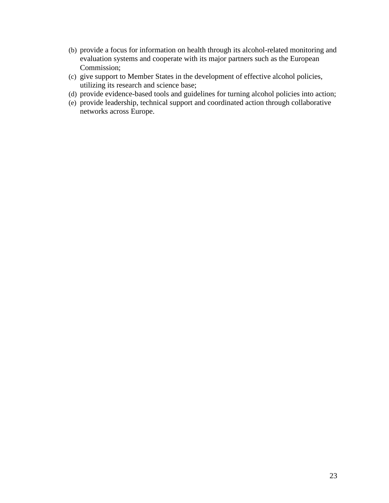- (b) provide a focus for information on health through its alcohol-related monitoring and evaluation systems and cooperate with its major partners such as the European Commission;
- (c) give support to Member States in the development of effective alcohol policies, utilizing its research and science base;
- (d) provide evidence-based tools and guidelines for turning alcohol policies into action;
- (e) provide leadership, technical support and coordinated action through collaborative networks across Europe.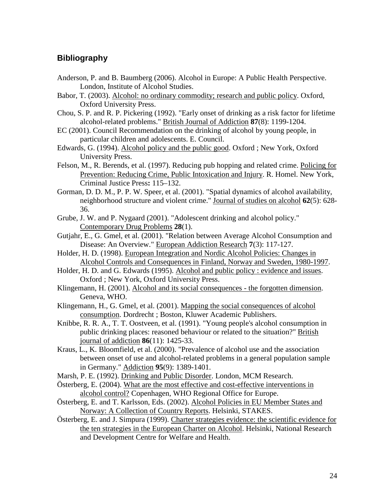## **Bibliography**

- Anderson, P. and B. Baumberg (2006). Alcohol in Europe: A Public Health Perspective. London, Institute of Alcohol Studies.
- Babor, T. (2003). Alcohol: no ordinary commodity; research and public policy. Oxford, Oxford University Press.
- Chou, S. P. and R. P. Pickering (1992). "Early onset of drinking as a risk factor for lifetime alcohol-related problems." British Journal of Addiction **87**(8): 1199-1204.
- EC (2001). Council Recommendation on the drinking of alcohol by young people, in particular children and adolescents. E. Council.
- Edwards, G. (1994). Alcohol policy and the public good. Oxford ; New York, Oxford University Press.
- Felson, M., R. Berends, et al. (1997). Reducing pub hopping and related crime. Policing for Prevention: Reducing Crime, Public Intoxication and Injury. R. Homel. New York, Criminal Justice Press**:** 115–132.
- Gorman, D. D. M., P. P. W. Speer, et al. (2001). "Spatial dynamics of alcohol availability, neighborhood structure and violent crime." Journal of studies on alcohol **62**(5): 628- 36.
- Grube, J. W. and P. Nygaard (2001). "Adolescent drinking and alcohol policy." Contemporary Drug Problems **28**(1).
- Gutjahr, E., G. Gmel, et al. (2001). "Relation between Average Alcohol Consumption and Disease: An Overview." European Addiction Research **7**(3): 117-127.
- Holder, H. D. (1998). European Integration and Nordic Alcohol Policies: Changes in Alcohol Controls and Consequences in Finland, Norway and Sweden, 1980-1997.
- Holder, H. D. and G. Edwards (1995). Alcohol and public policy : evidence and issues. Oxford ; New York, Oxford University Press.
- Klingemann, H. (2001). Alcohol and its social consequences the forgotten dimension. Geneva, WHO.
- Klingemann, H., G. Gmel, et al. (2001). Mapping the social consequences of alcohol consumption. Dordrecht ; Boston, Kluwer Academic Publishers.
- Knibbe, R. R. A., T. T. Oostveen, et al. (1991). "Young people's alcohol consumption in public drinking places: reasoned behaviour or related to the situation?" British journal of addiction **86**(11): 1425-33.
- Kraus, L., K. Bloomfield, et al. (2000). "Prevalence of alcohol use and the association between onset of use and alcohol-related problems in a general population sample in Germany." Addiction **95**(9): 1389-1401.
- Marsh, P. E. (1992). Drinking and Public Disorder. London, MCM Research.
- Österberg, E. (2004). What are the most effective and cost-effective interventions in alcohol control? Copenhagen, WHO Regional Office for Europe.
- Österberg, E. and T. Karlsson, Eds. (2002). Alcohol Policies in EU Member States and Norway: A Collection of Country Reports. Helsinki, STAKES.
- Österberg, E. and J. Simpura (1999). Charter strategies evidence: the scientific evidence for the ten strategies in the European Charter on Alcohol. Helsinki, National Research and Development Centre for Welfare and Health.